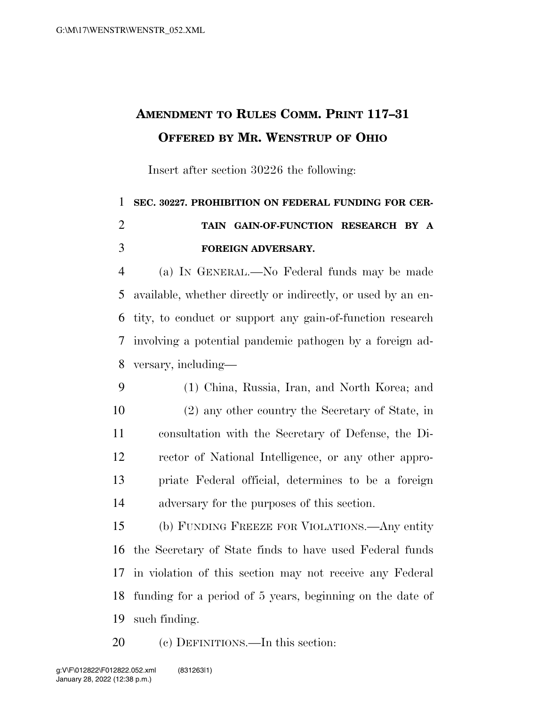## **AMENDMENT TO RULES COMM. PRINT 117–31 OFFERED BY MR. WENSTRUP OF OHIO**

Insert after section 30226 the following:

## **SEC. 30227. PROHIBITION ON FEDERAL FUNDING FOR CER- TAIN GAIN-OF-FUNCTION RESEARCH BY A FOREIGN ADVERSARY.**

 (a) IN GENERAL.—No Federal funds may be made available, whether directly or indirectly, or used by an en- tity, to conduct or support any gain-of-function research involving a potential pandemic pathogen by a foreign ad-versary, including—

- (1) China, Russia, Iran, and North Korea; and
- (2) any other country the Secretary of State, in consultation with the Secretary of Defense, the Di- rector of National Intelligence, or any other appro- priate Federal official, determines to be a foreign adversary for the purposes of this section.

 (b) FUNDING FREEZE FOR VIOLATIONS.—Any entity the Secretary of State finds to have used Federal funds in violation of this section may not receive any Federal funding for a period of 5 years, beginning on the date of such finding.

(c) DEFINITIONS.—In this section: